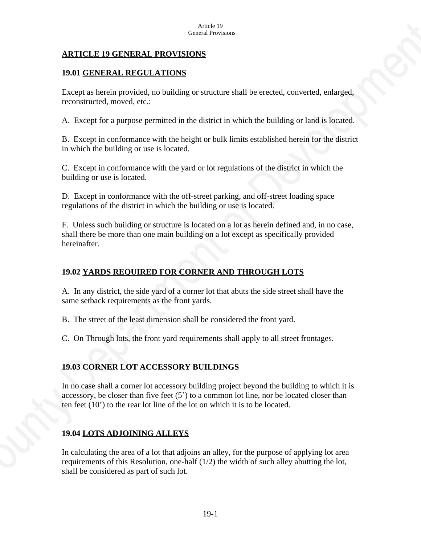### **ARTICLE 19 GENERAL PROVISIONS**

### **19.01 GENERAL REGULATIONS**

Except as herein provided, no building or structure shall be erected, converted, enlarged, reconstructed, moved, etc.:

A. Except for a purpose permitted in the district in which the building or land is located.

B. Except in conformance with the height or bulk limits established herein for the district in which the building or use is located.

C. Except in conformance with the yard or lot regulations of the district in which the building or use is located.

D. Except in conformance with the off-street parking, and off-street loading space regulations of the district in which the building or use is located.

F. Unless such building or structure is located on a lot as herein defined and, in no case, shall there be more than one main building on a lot except as specifically provided hereinafter.

# **19.02 YARDS REQUIRED FOR CORNER AND THROUGH LOTS**

A. In any district, the side yard of a corner lot that abuts the side street shall have the same setback requirements as the front yards.

B. The street of the least dimension shall be considered the front yard.

C. On Through lots, the front yard requirements shall apply to all street frontages.

## **19.03 CORNER LOT ACCESSORY BUILDINGS**

In no case shall a corner lot accessory building project beyond the building to which it is accessory, be closer than five feet  $(5')$  to a common lot line, nor be located closer than ten feet (10') to the rear lot line of the lot on which it is to be located.

## **19.04 LOTS ADJOINING ALLEYS**

In calculating the area of a lot that adjoins an alley, for the purpose of applying lot area requirements of this Resolution, one-half  $(1/2)$  the width of such alley abutting the lot, shall be considered as part of such lot.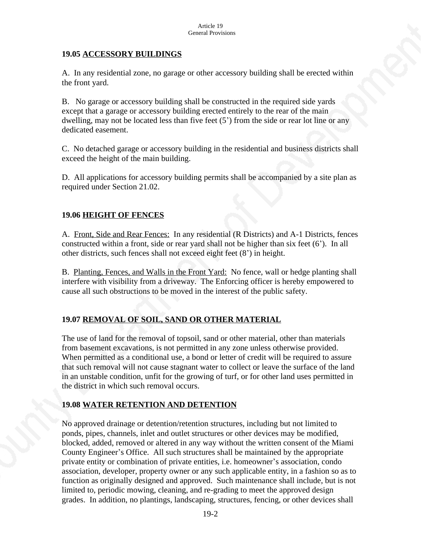### **19.05 ACCESSORY BUILDINGS**

A. In any residential zone, no garage or other accessory building shall be erected within the front yard.

B. No garage or accessory building shall be constructed in the required side yards except that a garage or accessory building erected entirely to the rear of the main dwelling, may not be located less than five feet (5') from the side or rear lot line or any dedicated easement.

C. No detached garage or accessory building in the residential and business districts shall exceed the height of the main building.

D. All applications for accessory building permits shall be accompanied by a site plan as required under Section 21.02.

## **19.06 HEIGHT OF FENCES**

A. Front, Side and Rear Fences: In any residential (R Districts) and A-1 Districts, fences constructed within a front, side or rear yard shall not be higher than six feet (6'). In all other districts, such fences shall not exceed eight feet (8') in height.

B. Planting, Fences, and Walls in the Front Yard: No fence, wall or hedge planting shall interfere with visibility from a driveway. The Enforcing officer is hereby empowered to cause all such obstructions to be moved in the interest of the public safety.

## **19.07 REMOVAL OF SOIL, SAND OR OTHER MATERIAL**

The use of land for the removal of topsoil, sand or other material, other than materials from basement excavations, is not permitted in any zone unless otherwise provided. When permitted as a conditional use, a bond or letter of credit will be required to assure that such removal will not cause stagnant water to collect or leave the surface of the land in an unstable condition, unfit for the growing of turf, or for other land uses permitted in the district in which such removal occurs.

### **19.08 WATER RETENTION AND DETENTION**

No approved drainage or detention/retention structures, including but not limited to ponds, pipes, channels, inlet and outlet structures or other devices may be modified, blocked, added, removed or altered in any way without the written consent of the Miami County Engineer's Office. All such structures shall be maintained by the appropriate private entity or combination of private entities, i.e. homeowner's association, condo association, developer, property owner or any such applicable entity, in a fashion so as to function as originally designed and approved. Such maintenance shall include, but is not limited to, periodic mowing, cleaning, and re-grading to meet the approved design grades. In addition, no plantings, landscaping, structures, fencing, or other devices shall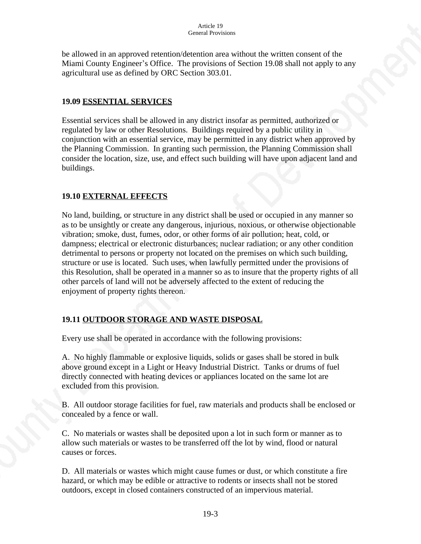be allowed in an approved retention/detention area without the written consent of the Miami County Engineer's Office. The provisions of Section 19.08 shall not apply to any agricultural use as defined by ORC Section 303.01.

### **19.09 ESSENTIAL SERVICES**

Essential services shall be allowed in any district insofar as permitted, authorized or regulated by law or other Resolutions. Buildings required by a public utility in conjunction with an essential service, may be permitted in any district when approved by the Planning Commission. In granting such permission, the Planning Commission shall consider the location, size, use, and effect such building will have upon adjacent land and buildings.

## **19.10 EXTERNAL EFFECTS**

No land, building, or structure in any district shall be used or occupied in any manner so as to be unsightly or create any dangerous, injurious, noxious, or otherwise objectionable vibration; smoke, dust, fumes, odor, or other forms of air pollution; heat, cold, or dampness; electrical or electronic disturbances; nuclear radiation; or any other condition detrimental to persons or property not located on the premises on which such building, structure or use is located. Such uses, when lawfully permitted under the provisions of this Resolution, shall be operated in a manner so as to insure that the property rights of all other parcels of land will not be adversely affected to the extent of reducing the enjoyment of property rights thereon.

## **19.11 OUTDOOR STORAGE AND WASTE DISPOSAL**

Every use shall be operated in accordance with the following provisions:

A. No highly flammable or explosive liquids, solids or gases shall be stored in bulk above ground except in a Light or Heavy Industrial District. Tanks or drums of fuel directly connected with heating devices or appliances located on the same lot are excluded from this provision.

B. All outdoor storage facilities for fuel, raw materials and products shall be enclosed or concealed by a fence or wall.

C. No materials or wastes shall be deposited upon a lot in such form or manner as to allow such materials or wastes to be transferred off the lot by wind, flood or natural causes or forces.

D. All materials or wastes which might cause fumes or dust, or which constitute a fire hazard, or which may be edible or attractive to rodents or insects shall not be stored outdoors, except in closed containers constructed of an impervious material.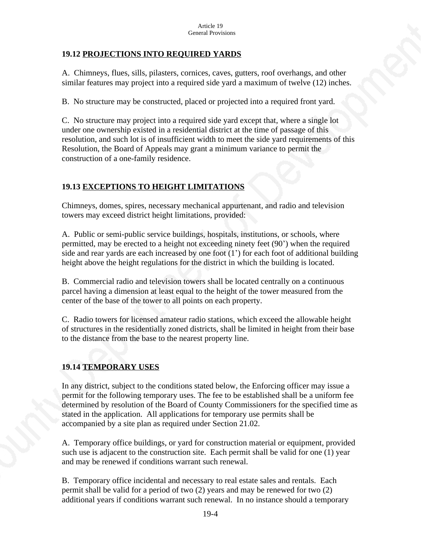## **19.12 PROJECTIONS INTO REQUIRED YARDS**

A. Chimneys, flues, sills, pilasters, cornices, caves, gutters, roof overhangs, and other similar features may project into a required side yard a maximum of twelve (12) inches.

B. No structure may be constructed, placed or projected into a required front yard.

C. No structure may project into a required side yard except that, where a single lot under one ownership existed in a residential district at the time of passage of this resolution, and such lot is of insufficient width to meet the side yard requirements of this Resolution, the Board of Appeals may grant a minimum variance to permit the construction of a one-family residence.

# **19.13 EXCEPTIONS TO HEIGHT LIMITATIONS**

Chimneys, domes, spires, necessary mechanical appurtenant, and radio and television towers may exceed district height limitations, provided:

A. Public or semi-public service buildings, hospitals, institutions, or schools, where permitted, may be erected to a height not exceeding ninety feet (90') when the required side and rear yards are each increased by one foot (1') for each foot of additional building height above the height regulations for the district in which the building is located.

B. Commercial radio and television towers shall be located centrally on a continuous parcel having a dimension at least equal to the height of the tower measured from the center of the base of the tower to all points on each property.

C. Radio towers for licensed amateur radio stations, which exceed the allowable height of structures in the residentially zoned districts, shall be limited in height from their base to the distance from the base to the nearest property line.

## **19.14 TEMPORARY USES**

In any district, subject to the conditions stated below, the Enforcing officer may issue a permit for the following temporary uses. The fee to be established shall be a uniform fee determined by resolution of the Board of County Commissioners for the specified time as stated in the application. All applications for temporary use permits shall be accompanied by a site plan as required under Section 21.02.

A. Temporary office buildings, or yard for construction material or equipment, provided such use is adjacent to the construction site. Each permit shall be valid for one (1) year and may be renewed if conditions warrant such renewal.

B. Temporary office incidental and necessary to real estate sales and rentals. Each permit shall be valid for a period of two (2) years and may be renewed for two (2) additional years if conditions warrant such renewal. In no instance should a temporary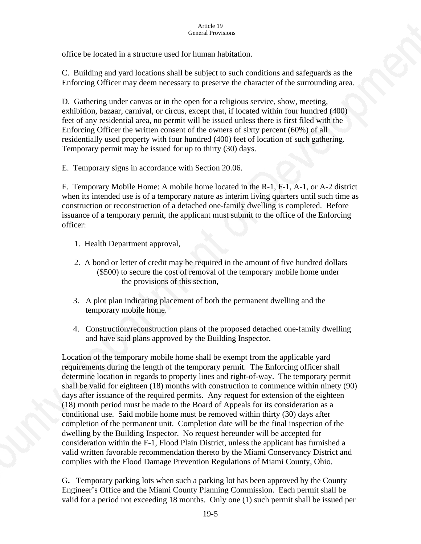office be located in a structure used for human habitation.

C. Building and yard locations shall be subject to such conditions and safeguards as the Enforcing Officer may deem necessary to preserve the character of the surrounding area.

D. Gathering under canvas or in the open for a religious service, show, meeting, exhibition, bazaar, carnival, or circus, except that, if located within four hundred (400) feet of any residential area, no permit will be issued unless there is first filed with the Enforcing Officer the written consent of the owners of sixty percent (60%) of all residentially used property with four hundred (400) feet of location of such gathering. Temporary permit may be issued for up to thirty (30) days.

E. Temporary signs in accordance with Section 20.06.

F. Temporary Mobile Home: A mobile home located in the R-1, F-1, A-1, or A-2 district when its intended use is of a temporary nature as interim living quarters until such time as construction or reconstruction of a detached one-family dwelling is completed. Before issuance of a temporary permit, the applicant must submit to the office of the Enforcing officer:

- 1. Health Department approval,
- 2. A bond or letter of credit may be required in the amount of five hundred dollars (\$500) to secure the cost of removal of the temporary mobile home under the provisions of this section,
- 3. A plot plan indicating placement of both the permanent dwelling and the temporary mobile home.
- 4. Construction/reconstruction plans of the proposed detached one-family dwelling and have said plans approved by the Building Inspector.

Location of the temporary mobile home shall be exempt from the applicable yard requirements during the length of the temporary permit. The Enforcing officer shall determine location in regards to property lines and right-of-way. The temporary permit shall be valid for eighteen (18) months with construction to commence within ninety (90) days after issuance of the required permits. Any request for extension of the eighteen (18) month period must be made to the Board of Appeals for its consideration as a conditional use. Said mobile home must be removed within thirty (30) days after completion of the permanent unit. Completion date will be the final inspection of the dwelling by the Building Inspector. No request hereunder will be accepted for consideration within the F-1, Flood Plain District, unless the applicant has furnished a valid written favorable recommendation thereto by the Miami Conservancy District and complies with the Flood Damage Prevention Regulations of Miami County, Ohio.

G**.** Temporary parking lots when such a parking lot has been approved by the County Engineer's Office and the Miami County Planning Commission. Each permit shall be valid for a period not exceeding 18 months. Only one (1) such permit shall be issued per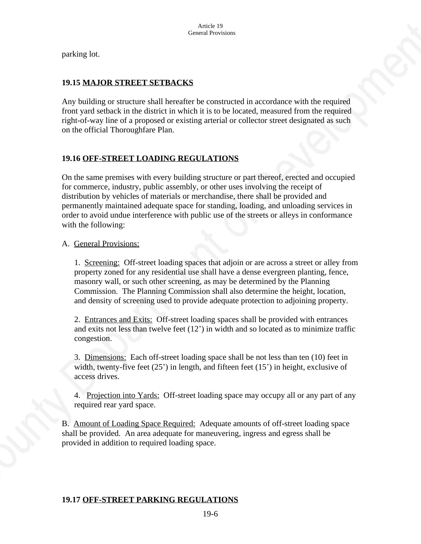parking lot.

### **19.15 MAJOR STREET SETBACKS**

Any building or structure shall hereafter be constructed in accordance with the required front yard setback in the district in which it is to be located, measured from the required right-of-way line of a proposed or existing arterial or collector street designated as such on the official Thoroughfare Plan.

### **19.16 OFF-STREET LOADING REGULATIONS**

On the same premises with every building structure or part thereof, erected and occupied for commerce, industry, public assembly, or other uses involving the receipt of distribution by vehicles of materials or merchandise, there shall be provided and permanently maintained adequate space for standing, loading, and unloading services in order to avoid undue interference with public use of the streets or alleys in conformance with the following:

### A. General Provisions:

 1. Screening: Off-street loading spaces that adjoin or are across a street or alley from property zoned for any residential use shall have a dense evergreen planting, fence, masonry wall, or such other screening, as may be determined by the Planning Commission. The Planning Commission shall also determine the height, location, and density of screening used to provide adequate protection to adjoining property.

2. Entrances and Exits: Off-street loading spaces shall be provided with entrances and exits not less than twelve feet (12') in width and so located as to minimize traffic congestion.

3. Dimensions: Each off-street loading space shall be not less than ten (10) feet in width, twenty-five feet  $(25')$  in length, and fifteen feet  $(15')$  in height, exclusive of access drives.

4. Projection into Yards: Off-street loading space may occupy all or any part of any required rear yard space.

B. Amount of Loading Space Required: Adequate amounts of off-street loading space shall be provided. An area adequate for maneuvering, ingress and egress shall be provided in addition to required loading space.

### **19.17 OFF-STREET PARKING REGULATIONS**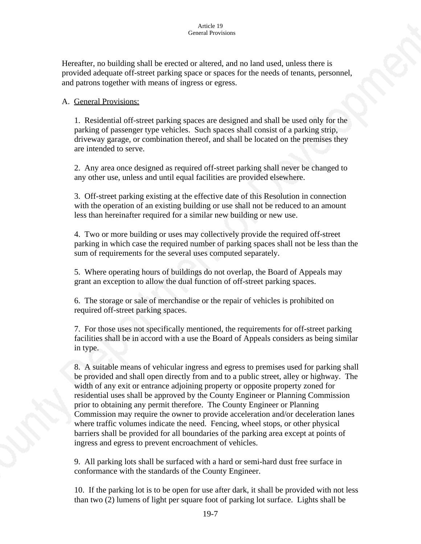Hereafter, no building shall be erected or altered, and no land used, unless there is provided adequate off-street parking space or spaces for the needs of tenants, personnel, and patrons together with means of ingress or egress.

### A. General Provisions:

 1. Residential off-street parking spaces are designed and shall be used only for the parking of passenger type vehicles. Such spaces shall consist of a parking strip, driveway garage, or combination thereof, and shall be located on the premises they are intended to serve.

2. Any area once designed as required off-street parking shall never be changed to any other use, unless and until equal facilities are provided elsewhere.

3. Off-street parking existing at the effective date of this Resolution in connection with the operation of an existing building or use shall not be reduced to an amount less than hereinafter required for a similar new building or new use.

4. Two or more building or uses may collectively provide the required off-street parking in which case the required number of parking spaces shall not be less than the sum of requirements for the several uses computed separately.

5. Where operating hours of buildings do not overlap, the Board of Appeals may grant an exception to allow the dual function of off-street parking spaces.

6. The storage or sale of merchandise or the repair of vehicles is prohibited on required off-street parking spaces.

7. For those uses not specifically mentioned, the requirements for off-street parking facilities shall be in accord with a use the Board of Appeals considers as being similar in type.

8. A suitable means of vehicular ingress and egress to premises used for parking shall be provided and shall open directly from and to a public street, alley or highway. The width of any exit or entrance adjoining property or opposite property zoned for residential uses shall be approved by the County Engineer or Planning Commission prior to obtaining any permit therefore. The County Engineer or Planning Commission may require the owner to provide acceleration and/or deceleration lanes where traffic volumes indicate the need. Fencing, wheel stops, or other physical barriers shall be provided for all boundaries of the parking area except at points of ingress and egress to prevent encroachment of vehicles.

9. All parking lots shall be surfaced with a hard or semi-hard dust free surface in conformance with the standards of the County Engineer.

10. If the parking lot is to be open for use after dark, it shall be provided with not less than two (2) lumens of light per square foot of parking lot surface. Lights shall be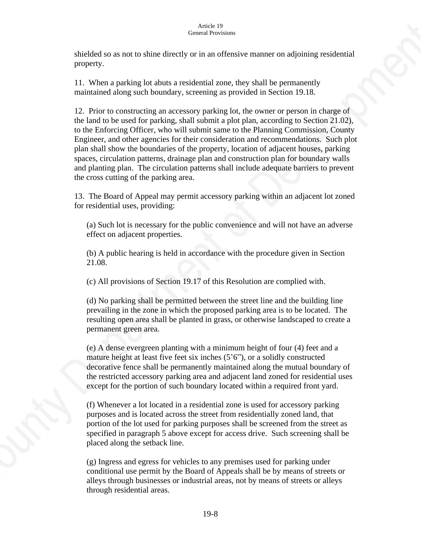shielded so as not to shine directly or in an offensive manner on adjoining residential property.

11. When a parking lot abuts a residential zone, they shall be permanently maintained along such boundary, screening as provided in Section 19.18.

12. Prior to constructing an accessory parking lot, the owner or person in charge of the land to be used for parking, shall submit a plot plan, according to Section 21.02), to the Enforcing Officer, who will submit same to the Planning Commission, County Engineer, and other agencies for their consideration and recommendations. Such plot plan shall show the boundaries of the property, location of adjacent houses, parking spaces, circulation patterns, drainage plan and construction plan for boundary walls and planting plan. The circulation patterns shall include adequate barriers to prevent the cross cutting of the parking area.

13. The Board of Appeal may permit accessory parking within an adjacent lot zoned for residential uses, providing:

(a) Such lot is necessary for the public convenience and will not have an adverse effect on adjacent properties.

(b) A public hearing is held in accordance with the procedure given in Section 21.08.

(c) All provisions of Section 19.17 of this Resolution are complied with.

(d) No parking shall be permitted between the street line and the building line prevailing in the zone in which the proposed parking area is to be located. The resulting open area shall be planted in grass, or otherwise landscaped to create a permanent green area.

(e) A dense evergreen planting with a minimum height of four (4) feet and a mature height at least five feet six inches (5'6"), or a solidly constructed decorative fence shall be permanently maintained along the mutual boundary of the restricted accessory parking area and adjacent land zoned for residential uses except for the portion of such boundary located within a required front yard.

(f) Whenever a lot located in a residential zone is used for accessory parking purposes and is located across the street from residentially zoned land, that portion of the lot used for parking purposes shall be screened from the street as specified in paragraph 5 above except for access drive. Such screening shall be placed along the setback line.

(g) Ingress and egress for vehicles to any premises used for parking under conditional use permit by the Board of Appeals shall be by means of streets or alleys through businesses or industrial areas, not by means of streets or alleys through residential areas.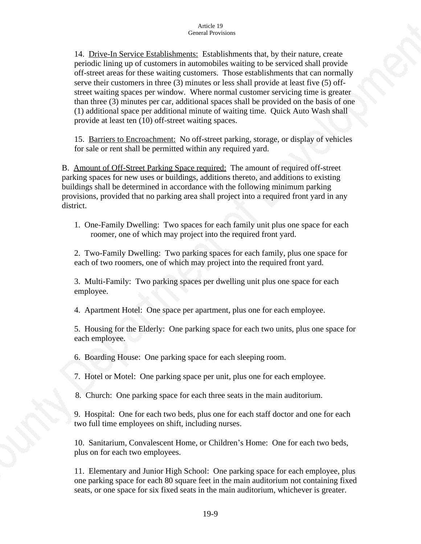14. Drive-In Service Establishments: Establishments that, by their nature, create periodic lining up of customers in automobiles waiting to be serviced shall provide off-street areas for these waiting customers. Those establishments that can normally serve their customers in three (3) minutes or less shall provide at least five (5) offstreet waiting spaces per window. Where normal customer servicing time is greater than three (3) minutes per car, additional spaces shall be provided on the basis of one (1) additional space per additional minute of waiting time. Quick Auto Wash shall provide at least ten (10) off-street waiting spaces.

15. Barriers to Encroachment: No off-street parking, storage, or display of vehicles for sale or rent shall be permitted within any required yard.

B. Amount of Off-Street Parking Space required: The amount of required off-street parking spaces for new uses or buildings, additions thereto, and additions to existing buildings shall be determined in accordance with the following minimum parking provisions, provided that no parking area shall project into a required front yard in any district.

1. One-Family Dwelling: Two spaces for each family unit plus one space for each roomer, one of which may project into the required front yard.

2. Two-Family Dwelling: Two parking spaces for each family, plus one space for each of two roomers, one of which may project into the required front yard.

3. Multi-Family: Two parking spaces per dwelling unit plus one space for each employee.

4. Apartment Hotel: One space per apartment, plus one for each employee.

5. Housing for the Elderly: One parking space for each two units, plus one space for each employee.

6. Boarding House: One parking space for each sleeping room.

7. Hotel or Motel: One parking space per unit, plus one for each employee.

8. Church: One parking space for each three seats in the main auditorium.

9. Hospital: One for each two beds, plus one for each staff doctor and one for each two full time employees on shift, including nurses.

10. Sanitarium, Convalescent Home, or Children's Home: One for each two beds, plus on for each two employees.

11. Elementary and Junior High School: One parking space for each employee, plus one parking space for each 80 square feet in the main auditorium not containing fixed seats, or one space for six fixed seats in the main auditorium, whichever is greater.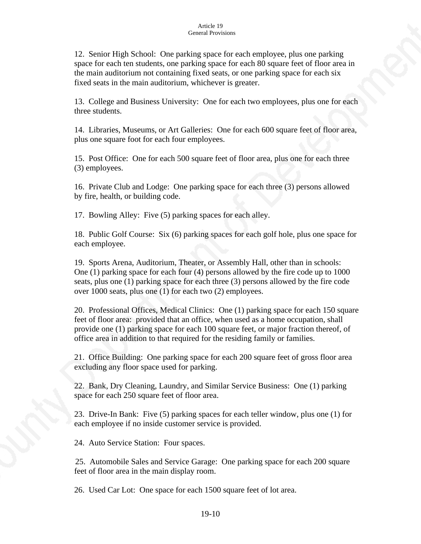12. Senior High School: One parking space for each employee, plus one parking space for each ten students, one parking space for each 80 square feet of floor area in the main auditorium not containing fixed seats, or one parking space for each six fixed seats in the main auditorium, whichever is greater.

13. College and Business University: One for each two employees, plus one for each three students.

14. Libraries, Museums, or Art Galleries: One for each 600 square feet of floor area, plus one square foot for each four employees.

15. Post Office: One for each 500 square feet of floor area, plus one for each three (3) employees.

16. Private Club and Lodge: One parking space for each three (3) persons allowed by fire, health, or building code.

17. Bowling Alley: Five (5) parking spaces for each alley.

18. Public Golf Course: Six (6) parking spaces for each golf hole, plus one space for each employee.

19. Sports Arena, Auditorium, Theater, or Assembly Hall, other than in schools: One (1) parking space for each four (4) persons allowed by the fire code up to 1000 seats, plus one (1) parking space for each three (3) persons allowed by the fire code over 1000 seats, plus one (1) for each two (2) employees.

20. Professional Offices, Medical Clinics: One (1) parking space for each 150 square feet of floor area: provided that an office, when used as a home occupation, shall provide one (1) parking space for each 100 square feet, or major fraction thereof, of office area in addition to that required for the residing family or families.

21. Office Building: One parking space for each 200 square feet of gross floor area excluding any floor space used for parking.

22. Bank, Dry Cleaning, Laundry, and Similar Service Business: One (1) parking space for each 250 square feet of floor area.

23. Drive-In Bank: Five (5) parking spaces for each teller window, plus one (1) for each employee if no inside customer service is provided.

24. Auto Service Station: Four spaces.

 25. Automobile Sales and Service Garage: One parking space for each 200 square feet of floor area in the main display room.

26. Used Car Lot: One space for each 1500 square feet of lot area.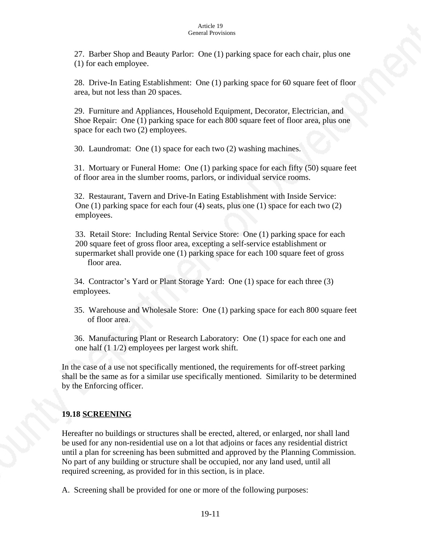27. Barber Shop and Beauty Parlor: One (1) parking space for each chair, plus one (1) for each employee.

28. Drive-In Eating Establishment: One (1) parking space for 60 square feet of floor area, but not less than 20 spaces.

29. Furniture and Appliances, Household Equipment, Decorator, Electrician, and Shoe Repair: One (1) parking space for each 800 square feet of floor area, plus one space for each two (2) employees.

30. Laundromat: One (1) space for each two (2) washing machines.

31. Mortuary or Funeral Home: One (1) parking space for each fifty (50) square feet of floor area in the slumber rooms, parlors, or individual service rooms.

 32. Restaurant, Tavern and Drive-In Eating Establishment with Inside Service: One (1) parking space for each four (4) seats, plus one (1) space for each two (2) employees.

 33. Retail Store: Including Rental Service Store: One (1) parking space for each 200 square feet of gross floor area, excepting a self-service establishment or supermarket shall provide one (1) parking space for each 100 square feet of gross floor area.

 34. Contractor's Yard or Plant Storage Yard: One (1) space for each three (3) employees.

 35. Warehouse and Wholesale Store: One (1) parking space for each 800 square feet of floor area.

 36. Manufacturing Plant or Research Laboratory: One (1) space for each one and one half (1 1/2) employees per largest work shift.

In the case of a use not specifically mentioned, the requirements for off-street parking shall be the same as for a similar use specifically mentioned. Similarity to be determined by the Enforcing officer.

## **19.18 SCREENING**

Hereafter no buildings or structures shall be erected, altered, or enlarged, nor shall land be used for any non-residential use on a lot that adjoins or faces any residential district until a plan for screening has been submitted and approved by the Planning Commission. No part of any building or structure shall be occupied, nor any land used, until all required screening, as provided for in this section, is in place.

A. Screening shall be provided for one or more of the following purposes: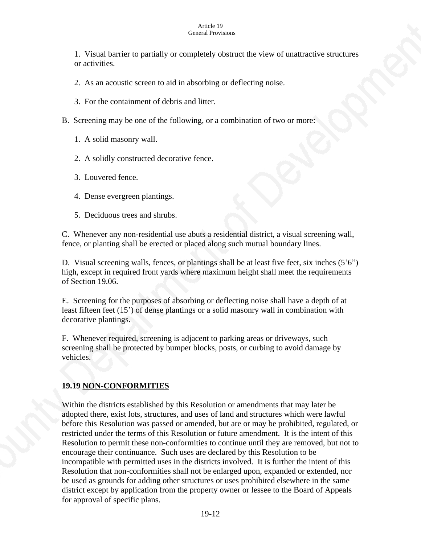1. Visual barrier to partially or completely obstruct the view of unattractive structures or activities.

- 2. As an acoustic screen to aid in absorbing or deflecting noise.
- 3. For the containment of debris and litter.
- B. Screening may be one of the following, or a combination of two or more:
	- 1. A solid masonry wall.
	- 2. A solidly constructed decorative fence.
	- 3. Louvered fence.
	- 4. Dense evergreen plantings.
	- 5. Deciduous trees and shrubs.

C. Whenever any non-residential use abuts a residential district, a visual screening wall, fence, or planting shall be erected or placed along such mutual boundary lines.

D. Visual screening walls, fences, or plantings shall be at least five feet, six inches (5'6") high, except in required front yards where maximum height shall meet the requirements of Section 19.06.

E. Screening for the purposes of absorbing or deflecting noise shall have a depth of at least fifteen feet (15') of dense plantings or a solid masonry wall in combination with decorative plantings.

F. Whenever required, screening is adjacent to parking areas or driveways, such screening shall be protected by bumper blocks, posts, or curbing to avoid damage by vehicles.

### **19.19 NON-CONFORMITIES**

Within the districts established by this Resolution or amendments that may later be adopted there, exist lots, structures, and uses of land and structures which were lawful before this Resolution was passed or amended, but are or may be prohibited, regulated, or restricted under the terms of this Resolution or future amendment. It is the intent of this Resolution to permit these non-conformities to continue until they are removed, but not to encourage their continuance. Such uses are declared by this Resolution to be incompatible with permitted uses in the districts involved. It is further the intent of this Resolution that non-conformities shall not be enlarged upon, expanded or extended, nor be used as grounds for adding other structures or uses prohibited elsewhere in the same district except by application from the property owner or lessee to the Board of Appeals for approval of specific plans.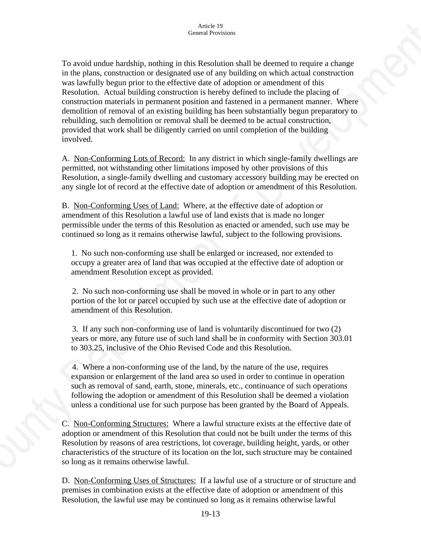To avoid undue hardship, nothing in this Resolution shall be deemed to require a change in the plans, construction or designated use of any building on which actual construction was lawfully begun prior to the effective date of adoption or amendment of this Resolution. Actual building construction is hereby defined to include the placing of construction materials in permanent position and fastened in a permanent manner. Where demolition of removal of an existing building has been substantially begun preparatory to rebuilding, such demolition or removal shall be deemed to be actual construction, provided that work shall be diligently carried on until completion of the building involved.

A. Non-Conforming Lots of Record: In any district in which single-family dwellings are permitted, not withstanding other limitations imposed by other provisions of this Resolution, a single-family dwelling and customary accessory building may be erected on any single lot of record at the effective date of adoption or amendment of this Resolution.

B. Non-Conforming Uses of Land: Where, at the effective date of adoption or amendment of this Resolution a lawful use of land exists that is made no longer permissible under the terms of this Resolution as enacted or amended, such use may be continued so long as it remains otherwise lawful, subject to the following provisions.

1. No such non-conforming use shall be enlarged or increased, nor extended to occupy a greater area of land that was occupied at the effective date of adoption or amendment Resolution except as provided.

 2. No such non-conforming use shall be moved in whole or in part to any other portion of the lot or parcel occupied by such use at the effective date of adoption or amendment of this Resolution.

 3. If any such non-conforming use of land is voluntarily discontinued for two (2) years or more, any future use of such land shall be in conformity with Section 303.01 to 303.25, inclusive of the Ohio Revised Code and this Resolution.

 4. Where a non-conforming use of the land, by the nature of the use, requires expansion or enlargement of the land area so used in order to continue in operation such as removal of sand, earth, stone, minerals, etc., continuance of such operations following the adoption or amendment of this Resolution shall be deemed a violation unless a conditional use for such purpose has been granted by the Board of Appeals.

C. Non-Conforming Structures: Where a lawful structure exists at the effective date of adoption or amendment of this Resolution that could not be built under the terms of this Resolution by reasons of area restrictions, lot coverage, building height, yards, or other characteristics of the structure of its location on the lot, such structure may be contained so long as it remains otherwise lawful.

D. Non-Conforming Uses of Structures: If a lawful use of a structure or of structure and premises in combination exists at the effective date of adoption or amendment of this Resolution, the lawful use may be continued so long as it remains otherwise lawful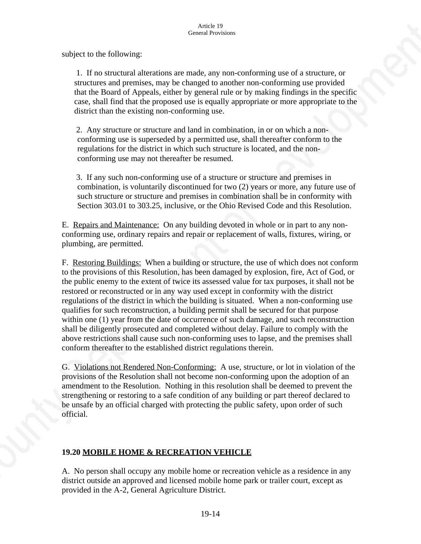subject to the following:

 1. If no structural alterations are made, any non-conforming use of a structure, or structures and premises, may be changed to another non-conforming use provided that the Board of Appeals, either by general rule or by making findings in the specific case, shall find that the proposed use is equally appropriate or more appropriate to the district than the existing non-conforming use.

 2. Any structure or structure and land in combination, in or on which a nonconforming use is superseded by a permitted use, shall thereafter conform to the regulations for the district in which such structure is located, and the nonconforming use may not thereafter be resumed.

 3. If any such non-conforming use of a structure or structure and premises in combination, is voluntarily discontinued for two (2) years or more, any future use of such structure or structure and premises in combination shall be in conformity with Section 303.01 to 303.25, inclusive, or the Ohio Revised Code and this Resolution.

E. Repairs and Maintenance: On any building devoted in whole or in part to any nonconforming use, ordinary repairs and repair or replacement of walls, fixtures, wiring, or plumbing, are permitted.

F. Restoring Buildings: When a building or structure, the use of which does not conform to the provisions of this Resolution, has been damaged by explosion, fire, Act of God, or the public enemy to the extent of twice its assessed value for tax purposes, it shall not be restored or reconstructed or in any way used except in conformity with the district regulations of the district in which the building is situated. When a non-conforming use qualifies for such reconstruction, a building permit shall be secured for that purpose within one (1) year from the date of occurrence of such damage, and such reconstruction shall be diligently prosecuted and completed without delay. Failure to comply with the above restrictions shall cause such non-conforming uses to lapse, and the premises shall conform thereafter to the established district regulations therein.

G. Violations not Rendered Non-Conforming: A use, structure, or lot in violation of the provisions of the Resolution shall not become non-conforming upon the adoption of an amendment to the Resolution. Nothing in this resolution shall be deemed to prevent the strengthening or restoring to a safe condition of any building or part thereof declared to be unsafe by an official charged with protecting the public safety, upon order of such official.

## **19.20 MOBILE HOME & RECREATION VEHICLE**

A. No person shall occupy any mobile home or recreation vehicle as a residence in any district outside an approved and licensed mobile home park or trailer court, except as provided in the A-2, General Agriculture District.